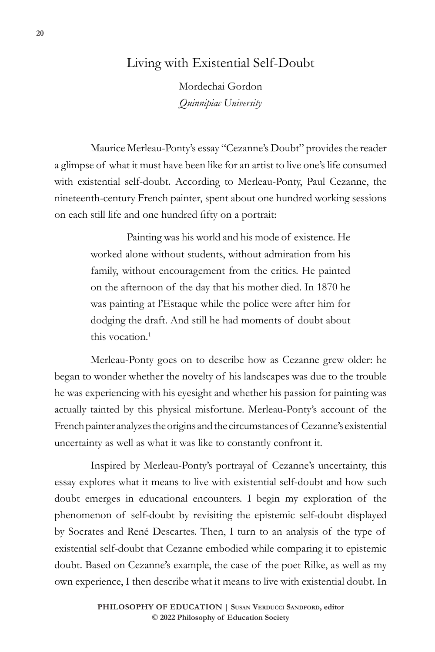# Living with Existential Self-Doubt

Mordechai Gordon *Quinnipiac University*

Maurice Merleau-Ponty's essay "Cezanne's Doubt" provides the reader a glimpse of what it must have been like for an artist to live one's life consumed with existential self-doubt. According to Merleau-Ponty, Paul Cezanne, the nineteenth-century French painter, spent about one hundred working sessions on each still life and one hundred fifty on a portrait:

> Painting was his world and his mode of existence. He worked alone without students, without admiration from his family, without encouragement from the critics. He painted on the afternoon of the day that his mother died. In 1870 he was painting at l'Estaque while the police were after him for dodging the draft. And still he had moments of doubt about this vocation.<sup>1</sup>

Merleau-Ponty goes on to describe how as Cezanne grew older: he began to wonder whether the novelty of his landscapes was due to the trouble he was experiencing with his eyesight and whether his passion for painting was actually tainted by this physical misfortune. Merleau-Ponty's account of the French painter analyzes the origins and the circumstances of Cezanne's existential uncertainty as well as what it was like to constantly confront it.

Inspired by Merleau-Ponty's portrayal of Cezanne's uncertainty, this essay explores what it means to live with existential self-doubt and how such doubt emerges in educational encounters. I begin my exploration of the phenomenon of self-doubt by revisiting the epistemic self-doubt displayed by Socrates and René Descartes. Then, I turn to an analysis of the type of existential self-doubt that Cezanne embodied while comparing it to epistemic doubt. Based on Cezanne's example, the case of the poet Rilke, as well as my own experience, I then describe what it means to live with existential doubt. In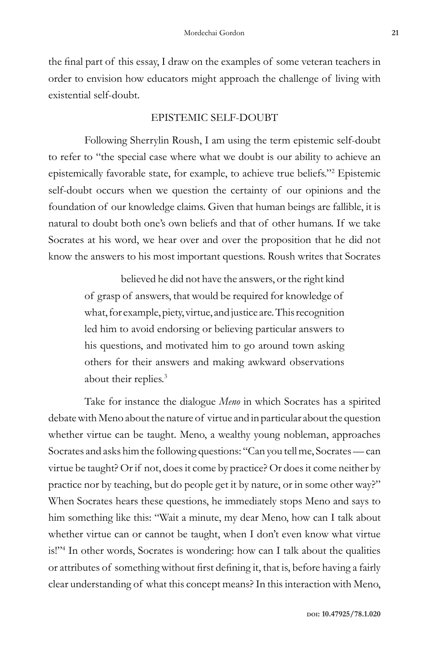the final part of this essay, I draw on the examples of some veteran teachers in order to envision how educators might approach the challenge of living with existential self-doubt.

#### EPISTEMIC SELF-DOUBT

Following Sherrylin Roush, I am using the term epistemic self-doubt to refer to "the special case where what we doubt is our ability to achieve an epistemically favorable state, for example, to achieve true beliefs."2 Epistemic self-doubt occurs when we question the certainty of our opinions and the foundation of our knowledge claims. Given that human beings are fallible, it is natural to doubt both one's own beliefs and that of other humans. If we take Socrates at his word, we hear over and over the proposition that he did not know the answers to his most important questions. Roush writes that Socrates

> believed he did not have the answers, or the right kind of grasp of answers, that would be required for knowledge of what, for example, piety, virtue, and justice are. This recognition led him to avoid endorsing or believing particular answers to his questions, and motivated him to go around town asking others for their answers and making awkward observations about their replies.<sup>3</sup>

Take for instance the dialogue *Meno* in which Socrates has a spirited debate with Meno about the nature of virtue and in particular about the question whether virtue can be taught. Meno, a wealthy young nobleman, approaches Socrates and asks him the following questions: "Can you tell me, Socrates — can virtue be taught? Or if not, does it come by practice? Or does it come neither by practice nor by teaching, but do people get it by nature, or in some other way?" When Socrates hears these questions, he immediately stops Meno and says to him something like this: "Wait a minute, my dear Meno, how can I talk about whether virtue can or cannot be taught, when I don't even know what virtue is!"4 In other words, Socrates is wondering: how can I talk about the qualities or attributes of something without first defining it, that is, before having a fairly clear understanding of what this concept means? In this interaction with Meno,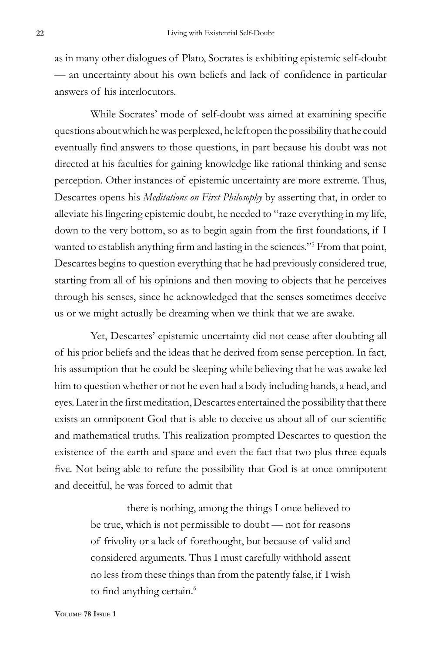as in many other dialogues of Plato, Socrates is exhibiting epistemic self-doubt — an uncertainty about his own beliefs and lack of confidence in particular answers of his interlocutors.

While Socrates' mode of self-doubt was aimed at examining specific questions about which he was perplexed, he left open the possibility that he could eventually find answers to those questions, in part because his doubt was not directed at his faculties for gaining knowledge like rational thinking and sense perception. Other instances of epistemic uncertainty are more extreme. Thus, Descartes opens his *Meditations on First Philosophy* by asserting that, in order to alleviate his lingering epistemic doubt, he needed to "raze everything in my life, down to the very bottom, so as to begin again from the first foundations, if I wanted to establish anything firm and lasting in the sciences."<sup>5</sup> From that point, Descartes begins to question everything that he had previously considered true, starting from all of his opinions and then moving to objects that he perceives through his senses, since he acknowledged that the senses sometimes deceive us or we might actually be dreaming when we think that we are awake.

Yet, Descartes' epistemic uncertainty did not cease after doubting all of his prior beliefs and the ideas that he derived from sense perception. In fact, his assumption that he could be sleeping while believing that he was awake led him to question whether or not he even had a body including hands, a head, and eyes. Later in the first meditation, Descartes entertained the possibility that there exists an omnipotent God that is able to deceive us about all of our scientific and mathematical truths. This realization prompted Descartes to question the existence of the earth and space and even the fact that two plus three equals five. Not being able to refute the possibility that God is at once omnipotent and deceitful, he was forced to admit that

> there is nothing, among the things I once believed to be true, which is not permissible to doubt — not for reasons of frivolity or a lack of forethought, but because of valid and considered arguments. Thus I must carefully withhold assent no less from these things than from the patently false, if I wish to find anything certain.<sup>6</sup>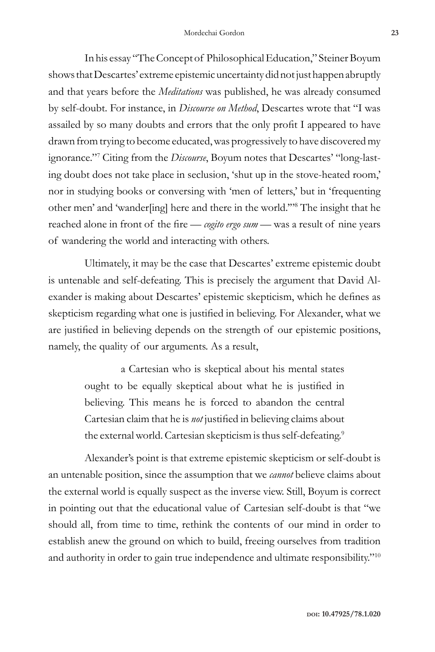In his essay "The Concept of Philosophical Education," Steiner Boyum shows that Descartes' extreme epistemic uncertainty did not just happen abruptly and that years before the *Meditations* was published, he was already consumed by self-doubt. For instance, in *Discourse on Method*, Descartes wrote that "I was assailed by so many doubts and errors that the only profit I appeared to have drawn from trying to become educated, was progressively to have discovered my ignorance."7 Citing from the *Discourse*, Boyum notes that Descartes' "long-lasting doubt does not take place in seclusion, 'shut up in the stove-heated room,' nor in studying books or conversing with 'men of letters,' but in 'frequenting other men' and 'wander[ing] here and there in the world.'"8 The insight that he reached alone in front of the fire — *cogito ergo sum —* was a result of nine years of wandering the world and interacting with others.

Ultimately, it may be the case that Descartes' extreme epistemic doubt is untenable and self-defeating. This is precisely the argument that David Alexander is making about Descartes' epistemic skepticism, which he defines as skepticism regarding what one is justified in believing. For Alexander, what we are justified in believing depends on the strength of our epistemic positions, namely, the quality of our arguments. As a result,

> a Cartesian who is skeptical about his mental states ought to be equally skeptical about what he is justified in believing. This means he is forced to abandon the central Cartesian claim that he is *not* justified in believing claims about the external world. Cartesian skepticism is thus self-defeating.<sup>9</sup>

Alexander's point is that extreme epistemic skepticism or self-doubt is an untenable position, since the assumption that we *cannot* believe claims about the external world is equally suspect as the inverse view. Still, Boyum is correct in pointing out that the educational value of Cartesian self-doubt is that "we should all, from time to time, rethink the contents of our mind in order to establish anew the ground on which to build, freeing ourselves from tradition and authority in order to gain true independence and ultimate responsibility."<sup>10</sup>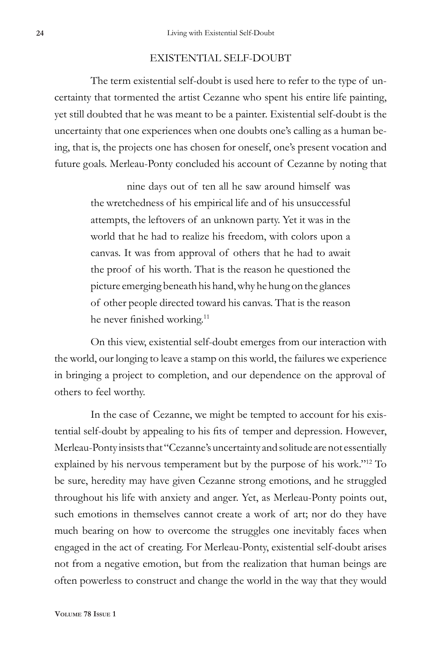#### EXISTENTIAL SELF-DOUBT

The term existential self-doubt is used here to refer to the type of uncertainty that tormented the artist Cezanne who spent his entire life painting, yet still doubted that he was meant to be a painter. Existential self-doubt is the uncertainty that one experiences when one doubts one's calling as a human being, that is, the projects one has chosen for oneself, one's present vocation and future goals. Merleau-Ponty concluded his account of Cezanne by noting that

> nine days out of ten all he saw around himself was the wretchedness of his empirical life and of his unsuccessful attempts, the leftovers of an unknown party. Yet it was in the world that he had to realize his freedom, with colors upon a canvas. It was from approval of others that he had to await the proof of his worth. That is the reason he questioned the picture emerging beneath his hand, why he hung on the glances of other people directed toward his canvas. That is the reason he never finished working.<sup>11</sup>

On this view, existential self-doubt emerges from our interaction with the world, our longing to leave a stamp on this world, the failures we experience in bringing a project to completion, and our dependence on the approval of others to feel worthy.

In the case of Cezanne, we might be tempted to account for his existential self-doubt by appealing to his fits of temper and depression. However, Merleau-Ponty insists that "Cezanne's uncertainty and solitude are not essentially explained by his nervous temperament but by the purpose of his work."<sup>12</sup> To be sure, heredity may have given Cezanne strong emotions, and he struggled throughout his life with anxiety and anger. Yet, as Merleau-Ponty points out, such emotions in themselves cannot create a work of art; nor do they have much bearing on how to overcome the struggles one inevitably faces when engaged in the act of creating. For Merleau-Ponty, existential self-doubt arises not from a negative emotion, but from the realization that human beings are often powerless to construct and change the world in the way that they would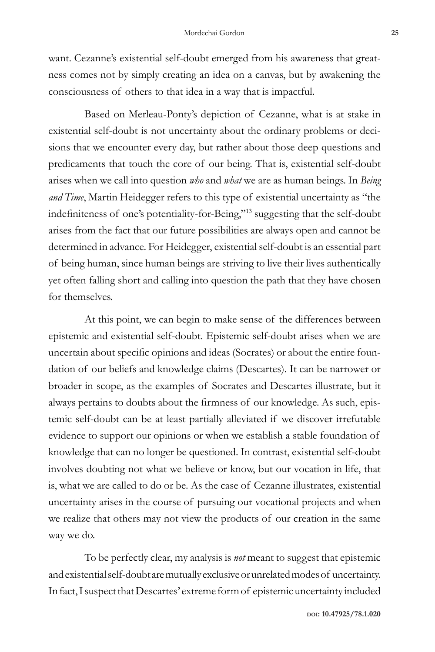want. Cezanne's existential self-doubt emerged from his awareness that greatness comes not by simply creating an idea on a canvas, but by awakening the consciousness of others to that idea in a way that is impactful.

Based on Merleau-Ponty's depiction of Cezanne, what is at stake in existential self-doubt is not uncertainty about the ordinary problems or decisions that we encounter every day, but rather about those deep questions and predicaments that touch the core of our being. That is, existential self-doubt arises when we call into question *who* and *what* we are as human beings. In *Being and Time*, Martin Heidegger refers to this type of existential uncertainty as "the indefiniteness of one's potentiality-for-Being,"13 suggesting that the self-doubt arises from the fact that our future possibilities are always open and cannot be determined in advance. For Heidegger, existential self-doubt is an essential part of being human, since human beings are striving to live their lives authentically yet often falling short and calling into question the path that they have chosen for themselves.

At this point, we can begin to make sense of the differences between epistemic and existential self-doubt. Epistemic self-doubt arises when we are uncertain about specific opinions and ideas (Socrates) or about the entire foundation of our beliefs and knowledge claims (Descartes). It can be narrower or broader in scope, as the examples of Socrates and Descartes illustrate, but it always pertains to doubts about the firmness of our knowledge. As such, epistemic self-doubt can be at least partially alleviated if we discover irrefutable evidence to support our opinions or when we establish a stable foundation of knowledge that can no longer be questioned. In contrast, existential self-doubt involves doubting not what we believe or know, but our vocation in life, that is, what we are called to do or be. As the case of Cezanne illustrates, existential uncertainty arises in the course of pursuing our vocational projects and when we realize that others may not view the products of our creation in the same way we do.

To be perfectly clear, my analysis is *not* meant to suggest that epistemic and existential self-doubt are mutually exclusive or unrelated modes of uncertainty. In fact, I suspect that Descartes' extreme form of epistemic uncertainty included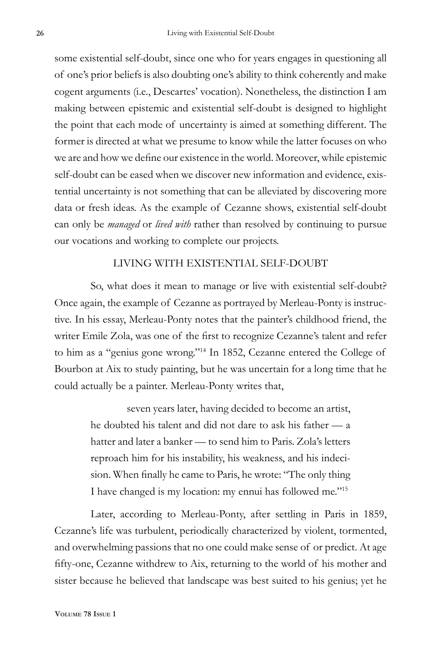some existential self-doubt, since one who for years engages in questioning all of one's prior beliefs is also doubting one's ability to think coherently and make cogent arguments (i.e., Descartes' vocation). Nonetheless, the distinction I am making between epistemic and existential self-doubt is designed to highlight the point that each mode of uncertainty is aimed at something different. The former is directed at what we presume to know while the latter focuses on who we are and how we define our existence in the world. Moreover, while epistemic self-doubt can be eased when we discover new information and evidence, existential uncertainty is not something that can be alleviated by discovering more data or fresh ideas. As the example of Cezanne shows, existential self-doubt can only be *managed* or *lived with* rather than resolved by continuing to pursue our vocations and working to complete our projects.

### LIVING WITH EXISTENTIAL SELF-DOUBT

So, what does it mean to manage or live with existential self-doubt? Once again, the example of Cezanne as portrayed by Merleau-Ponty is instructive. In his essay, Merleau-Ponty notes that the painter's childhood friend, the writer Emile Zola, was one of the first to recognize Cezanne's talent and refer to him as a "genius gone wrong."14 In 1852, Cezanne entered the College of Bourbon at Aix to study painting, but he was uncertain for a long time that he could actually be a painter. Merleau-Ponty writes that,

> seven years later, having decided to become an artist, he doubted his talent and did not dare to ask his father — a hatter and later a banker — to send him to Paris. Zola's letters reproach him for his instability, his weakness, and his indecision. When finally he came to Paris, he wrote: "The only thing I have changed is my location: my ennui has followed me."<sup>15</sup>

Later, according to Merleau-Ponty, after settling in Paris in 1859, Cezanne's life was turbulent, periodically characterized by violent, tormented, and overwhelming passions that no one could make sense of or predict. At age fifty-one, Cezanne withdrew to Aix, returning to the world of his mother and sister because he believed that landscape was best suited to his genius; yet he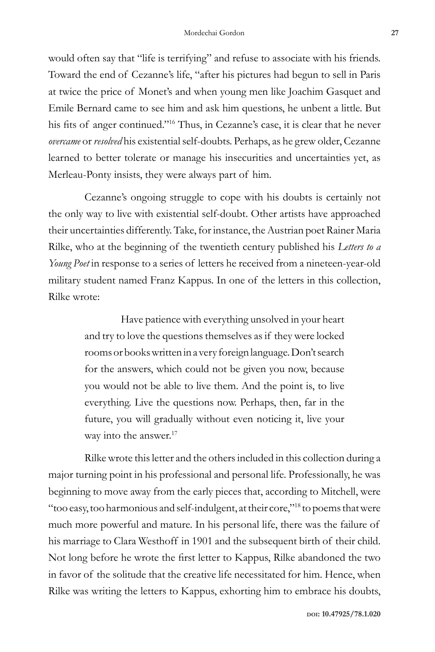would often say that "life is terrifying" and refuse to associate with his friends. Toward the end of Cezanne's life, "after his pictures had begun to sell in Paris at twice the price of Monet's and when young men like Joachim Gasquet and Emile Bernard came to see him and ask him questions, he unbent a little. But his fits of anger continued."16 Thus, in Cezanne's case, it is clear that he never *overcame* or *resolved* his existential self-doubts. Perhaps, as he grew older, Cezanne learned to better tolerate or manage his insecurities and uncertainties yet, as Merleau-Ponty insists, they were always part of him.

Cezanne's ongoing struggle to cope with his doubts is certainly not the only way to live with existential self-doubt. Other artists have approached their uncertainties differently. Take, for instance, the Austrian poet Rainer Maria Rilke, who at the beginning of the twentieth century published his *Letters to a Young Poet* in response to a series of letters he received from a nineteen-year-old military student named Franz Kappus. In one of the letters in this collection, Rilke wrote:

> Have patience with everything unsolved in your heart and try to love the questions themselves as if they were locked rooms or books written in a very foreign language. Don't search for the answers, which could not be given you now, because you would not be able to live them. And the point is, to live everything. Live the questions now. Perhaps, then, far in the future, you will gradually without even noticing it, live your way into the answer.<sup>17</sup>

Rilke wrote this letter and the others included in this collection during a major turning point in his professional and personal life. Professionally, he was beginning to move away from the early pieces that, according to Mitchell, were "too easy, too harmonious and self-indulgent, at their core,"18 to poems that were much more powerful and mature. In his personal life, there was the failure of his marriage to Clara Westhoff in 1901 and the subsequent birth of their child. Not long before he wrote the first letter to Kappus, Rilke abandoned the two in favor of the solitude that the creative life necessitated for him. Hence, when Rilke was writing the letters to Kappus, exhorting him to embrace his doubts,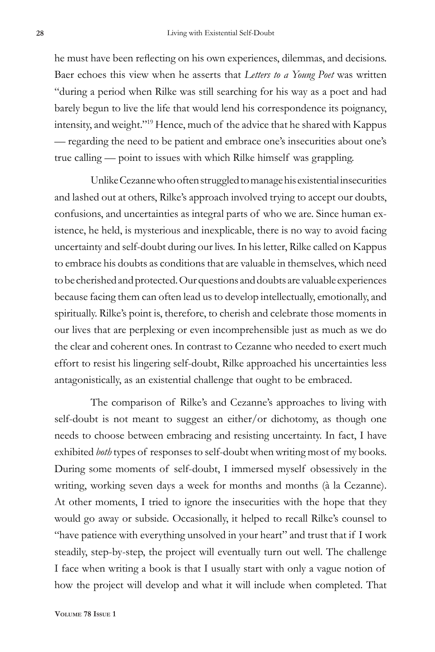he must have been reflecting on his own experiences, dilemmas, and decisions. Baer echoes this view when he asserts that *Letters to a Young Poet* was written "during a period when Rilke was still searching for his way as a poet and had barely begun to live the life that would lend his correspondence its poignancy, intensity, and weight."19 Hence, much of the advice that he shared with Kappus — regarding the need to be patient and embrace one's insecurities about one's true calling — point to issues with which Rilke himself was grappling.

Unlike Cezanne who often struggled to manage his existential insecurities and lashed out at others, Rilke's approach involved trying to accept our doubts, confusions, and uncertainties as integral parts of who we are. Since human existence, he held, is mysterious and inexplicable, there is no way to avoid facing uncertainty and self-doubt during our lives. In his letter, Rilke called on Kappus to embrace his doubts as conditions that are valuable in themselves, which need to be cherished and protected. Our questions and doubts are valuable experiences because facing them can often lead us to develop intellectually, emotionally, and spiritually. Rilke's point is, therefore, to cherish and celebrate those moments in our lives that are perplexing or even incomprehensible just as much as we do the clear and coherent ones. In contrast to Cezanne who needed to exert much effort to resist his lingering self-doubt, Rilke approached his uncertainties less antagonistically, as an existential challenge that ought to be embraced.

The comparison of Rilke's and Cezanne's approaches to living with self-doubt is not meant to suggest an either/or dichotomy, as though one needs to choose between embracing and resisting uncertainty. In fact, I have exhibited *both* types of responses to self-doubt when writing most of my books. During some moments of self-doubt, I immersed myself obsessively in the writing, working seven days a week for months and months (à la Cezanne). At other moments, I tried to ignore the insecurities with the hope that they would go away or subside. Occasionally, it helped to recall Rilke's counsel to "have patience with everything unsolved in your heart" and trust that if I work steadily, step-by-step, the project will eventually turn out well. The challenge I face when writing a book is that I usually start with only a vague notion of how the project will develop and what it will include when completed. That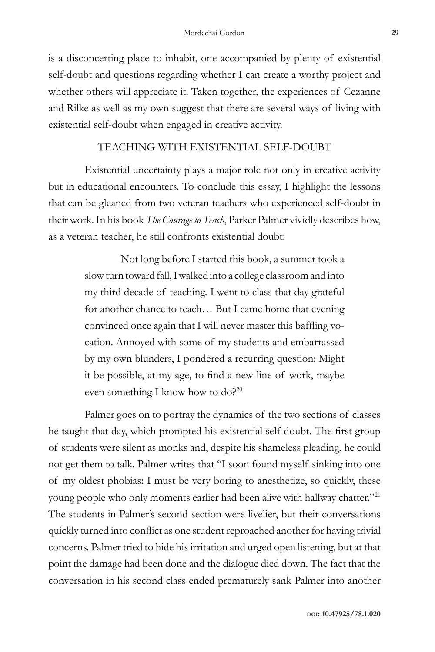is a disconcerting place to inhabit, one accompanied by plenty of existential self-doubt and questions regarding whether I can create a worthy project and whether others will appreciate it. Taken together, the experiences of Cezanne and Rilke as well as my own suggest that there are several ways of living with existential self-doubt when engaged in creative activity.

## TEACHING WITH EXISTENTIAL SELF-DOUBT

Existential uncertainty plays a major role not only in creative activity but in educational encounters. To conclude this essay, I highlight the lessons that can be gleaned from two veteran teachers who experienced self-doubt in their work. In his book *The Courage to Teach*, Parker Palmer vividly describes how, as a veteran teacher, he still confronts existential doubt:

> Not long before I started this book, a summer took a slow turn toward fall, I walked into a college classroom and into my third decade of teaching. I went to class that day grateful for another chance to teach… But I came home that evening convinced once again that I will never master this baffling vocation. Annoyed with some of my students and embarrassed by my own blunders, I pondered a recurring question: Might it be possible, at my age, to find a new line of work, maybe even something I know how to do?<sup>20</sup>

Palmer goes on to portray the dynamics of the two sections of classes he taught that day, which prompted his existential self-doubt. The first group of students were silent as monks and, despite his shameless pleading, he could not get them to talk. Palmer writes that "I soon found myself sinking into one of my oldest phobias: I must be very boring to anesthetize, so quickly, these young people who only moments earlier had been alive with hallway chatter."<sup>21</sup> The students in Palmer's second section were livelier, but their conversations quickly turned into conflict as one student reproached another for having trivial concerns. Palmer tried to hide his irritation and urged open listening, but at that point the damage had been done and the dialogue died down. The fact that the conversation in his second class ended prematurely sank Palmer into another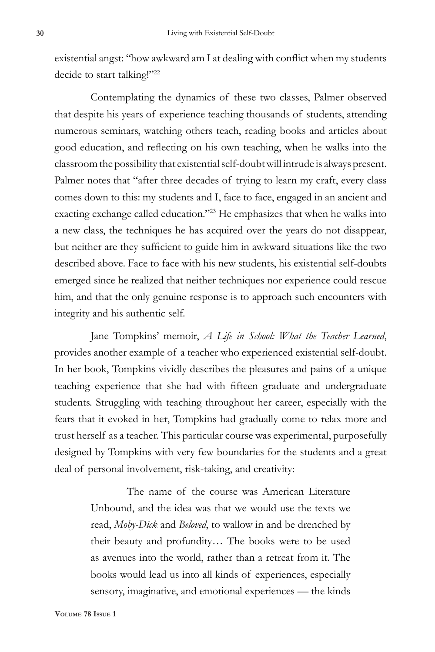existential angst: "how awkward am I at dealing with conflict when my students decide to start talking!"<sup>22</sup>

Contemplating the dynamics of these two classes, Palmer observed that despite his years of experience teaching thousands of students, attending numerous seminars, watching others teach, reading books and articles about good education, and reflecting on his own teaching, when he walks into the classroom the possibility that existential self-doubt will intrude is always present. Palmer notes that "after three decades of trying to learn my craft, every class comes down to this: my students and I, face to face, engaged in an ancient and exacting exchange called education."<sup>23</sup> He emphasizes that when he walks into a new class, the techniques he has acquired over the years do not disappear, but neither are they sufficient to guide him in awkward situations like the two described above. Face to face with his new students, his existential self-doubts emerged since he realized that neither techniques nor experience could rescue him, and that the only genuine response is to approach such encounters with integrity and his authentic self.

Jane Tompkins' memoir, *A Life in School: What the Teacher Learned*, provides another example of a teacher who experienced existential self-doubt. In her book, Tompkins vividly describes the pleasures and pains of a unique teaching experience that she had with fifteen graduate and undergraduate students. Struggling with teaching throughout her career, especially with the fears that it evoked in her, Tompkins had gradually come to relax more and trust herself as a teacher. This particular course was experimental, purposefully designed by Tompkins with very few boundaries for the students and a great deal of personal involvement, risk-taking, and creativity:

> The name of the course was American Literature Unbound, and the idea was that we would use the texts we read, *Moby-Dick* and *Beloved*, to wallow in and be drenched by their beauty and profundity… The books were to be used as avenues into the world, rather than a retreat from it. The books would lead us into all kinds of experiences, especially sensory, imaginative, and emotional experiences — the kinds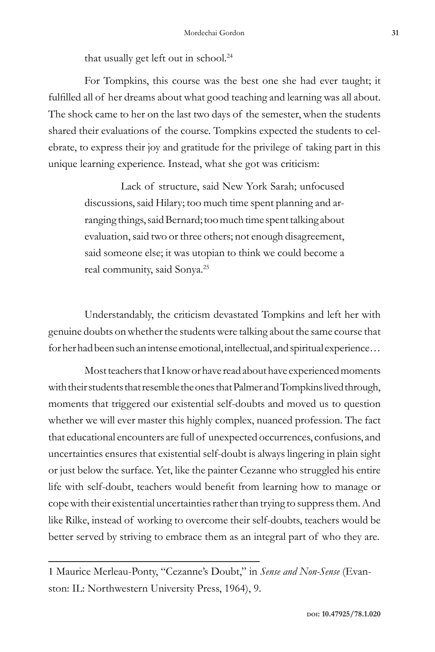that usually get left out in school.<sup>24</sup>

For Tompkins, this course was the best one she had ever taught; it fulfilled all of her dreams about what good teaching and learning was all about. The shock came to her on the last two days of the semester, when the students shared their evaluations of the course. Tompkins expected the students to celebrate, to express their joy and gratitude for the privilege of taking part in this unique learning experience. Instead, what she got was criticism:

> Lack of structure, said New York Sarah; unfocused discussions, said Hilary; too much time spent planning and arranging things, said Bernard; too much time spent talking about evaluation, said two or three others; not enough disagreement, said someone else; it was utopian to think we could become a real community, said Sonya.25

Understandably, the criticism devastated Tompkins and left her with genuine doubts on whether the students were talking about the same course that for her had been such an intense emotional, intellectual, and spiritual experience…

Most teachers that I know or have read about have experienced moments with their students that resemble the ones that Palmer and Tompkins lived through, moments that triggered our existential self-doubts and moved us to question whether we will ever master this highly complex, nuanced profession. The fact that educational encounters are full of unexpected occurrences, confusions, and uncertainties ensures that existential self-doubt is always lingering in plain sight or just below the surface. Yet, like the painter Cezanne who struggled his entire life with self-doubt, teachers would benefit from learning how to manage or copewith their existential uncertainties rather than trying to suppress them. And like Rilke, instead of working to overcome their self-doubts, teachers would be better served by striving to embrace them as an integral part of who they are.

<sup>1</sup> Maurice Merleau-Ponty, "Cezanne's Doubt," in *Sense and Non-Sense* (Evanston: IL: Northwestern University Press, 1964), 9.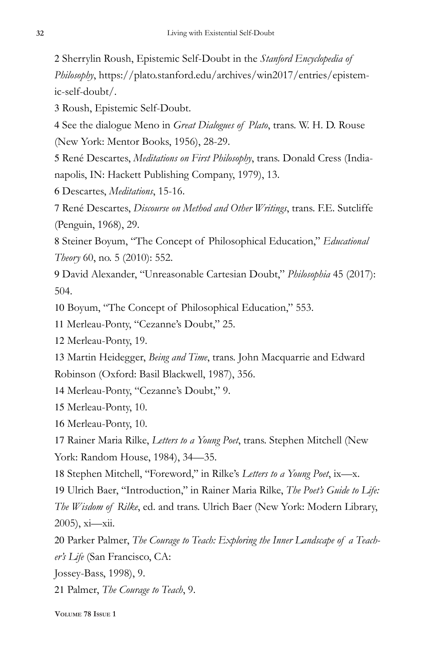2 Sherrylin Roush, Epistemic Self-Doubt in the *Stanford Encyclopedia of Philosophy*, https://plato.stanford.edu/archives/win2017/entries/epistemic-self-doubt/.

3 Roush, Epistemic Self-Doubt.

4 See the dialogue Meno in *Great Dialogues of Plato*, trans. W. H. D. Rouse (New York: Mentor Books, 1956), 28-29.

5 René Descartes, *Meditations on First Philosophy*, trans. Donald Cress (Indianapolis, IN: Hackett Publishing Company, 1979), 13.

6 Descartes, *Meditations*, 15-16.

7 René Descartes, *Discourse on Method and Other Writings*, trans. F.E. Sutcliffe (Penguin, 1968), 29.

8 Steiner Boyum, "The Concept of Philosophical Education," *Educational Theory* 60, no. 5 (2010): 552.

9 David Alexander, "Unreasonable Cartesian Doubt," *Philosophia* 45 (2017): 504.

10 Boyum, "The Concept of Philosophical Education," 553.

11 Merleau-Ponty, "Cezanne's Doubt," 25.

12 Merleau-Ponty, 19.

13 Martin Heidegger, *Being and Time*, trans. John Macquarrie and Edward Robinson (Oxford: Basil Blackwell, 1987), 356.

14 Merleau-Ponty, "Cezanne's Doubt," 9.

15 Merleau-Ponty, 10.

16 Merleau-Ponty, 10.

17 Rainer Maria Rilke, *Letters to a Young Poet*, trans. Stephen Mitchell (New York: Random House, 1984), 34—35.

18 Stephen Mitchell, ''Foreword,'' in Rilke's *Letters to a Young Poet*, ix—x.

19 Ulrich Baer, ''Introduction,'' in Rainer Maria Rilke, *The Poet's Guide to Life: The Wisdom of Rilke*, ed. and trans. Ulrich Baer (New York: Modern Library, 2005), xi—xii.

20 Parker Palmer, *The Courage to Teach: Exploring the Inner Landscape of a Teacher's Life* (San Francisco, CA:

Jossey-Bass, 1998), 9.

21 Palmer, *The Courage to Teach*, 9.